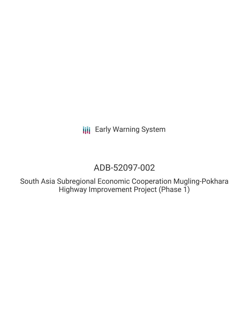**III** Early Warning System

# ADB-52097-002

South Asia Subregional Economic Cooperation Mugling-Pokhara Highway Improvement Project (Phase 1)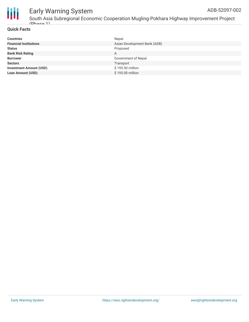

# Early Warning System

South Asia Subregional Economic Cooperation Mugling-Pokhara Highway Improvement Project  $(Dh$ aca 1)

## **Quick Facts**

| <b>Countries</b>               | Nepal                        |
|--------------------------------|------------------------------|
| <b>Financial Institutions</b>  | Asian Development Bank (ADB) |
| <b>Status</b>                  | Proposed                     |
| <b>Bank Risk Rating</b>        | A                            |
| <b>Borrower</b>                | Government of Nepal          |
| <b>Sectors</b>                 | Transport                    |
| <b>Investment Amount (USD)</b> | \$195.50 million             |
| <b>Loan Amount (USD)</b>       | \$195.00 million             |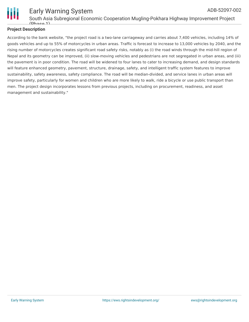

# Early Warning System ADB-52097-002

South Asia Subregional Economic Cooperation Mugling-Pokhara Highway Improvement Project  $(Dh$ gca 1)

## **Project Description**

According to the bank website, "the project road is a two-lane carriageway and carries about 7,400 vehicles, including 14% of goods vehicles and up to 55% of motorcycles in urban areas. Traffic is forecast to increase to 13,000 vehicles by 2040, and the rising number of motorcycles creates significant road safety risks, notably as (i) the road winds through the mid-hill region of Nepal and its geometry can be improved, (ii) slow-moving vehicles and pedestrians are not segregated in urban areas, and (iii) the pavement is in poor condition. The road will be widened to four lanes to cater to increasing demand, and design standards will feature enhanced geometry, pavement, structure, drainage, safety, and intelligent traffic system features to improve sustainability, safety awareness, safety compliance. The road will be median-divided, and service lanes in urban areas will improve safety, particularly for women and children who are more likely to walk, ride a bicycle or use public transport than men. The project design incorporates lessons from previous projects, including on procurement, readiness, and asset management and sustainability."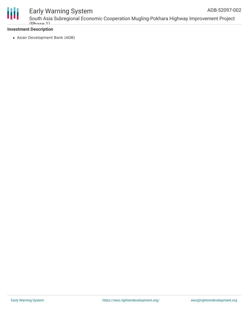

# Early Warning System

South Asia Subregional Economic Cooperation Mugling-Pokhara Highway Improvement Project  $(Dh$ aca 1)

## **Investment Description**

Asian Development Bank (ADB)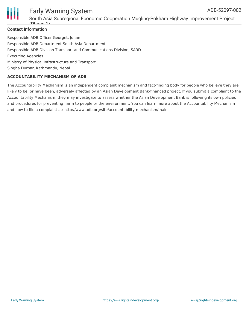

#### Early Warning System South Asia Subregional Economic Cooperation Mugling-Pokhara Highway Improvement Project  $(Dh$ ace 1) ADB-52097-002

Responsible ADB Officer Georget, Johan Responsible ADB Department South Asia Department Responsible ADB Division Transport and Communications Division, SARD Executing Agencies Ministry of Physical Infrastructure and Transport Singha Durbar, Kathmandu, Nepal

### **ACCOUNTABILITY MECHANISM OF ADB**

The Accountability Mechanism is an independent complaint mechanism and fact-finding body for people who believe they are likely to be, or have been, adversely affected by an Asian Development Bank-financed project. If you submit a complaint to the Accountability Mechanism, they may investigate to assess whether the Asian Development Bank is following its own policies and procedures for preventing harm to people or the environment. You can learn more about the Accountability Mechanism and how to file a complaint at: http://www.adb.org/site/accountability-mechanism/main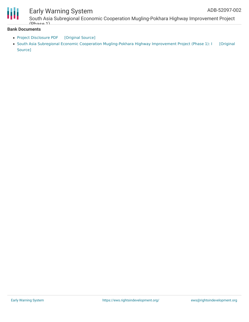



# Early Warning System

South Asia Subregional Economic Cooperation Mugling-Pokhara Highway Improvement Project  $(Dh$ aca 1)

### **Bank Documents**

- Project [Disclosure](https://ewsdata.rightsindevelopment.org/files/documents/02/ADB-52097-002.pdf) PDF [\[Original](https://www.adb.org/printpdf/projects/52097-002/main) Source]
- South Asia Subregional Economic Cooperation [Mugling-Pokhara](https://www.adb.org/projects/documents/nep-52097-002-ipsa) Highway Improvement Project (Phase 1): I [Original Source]